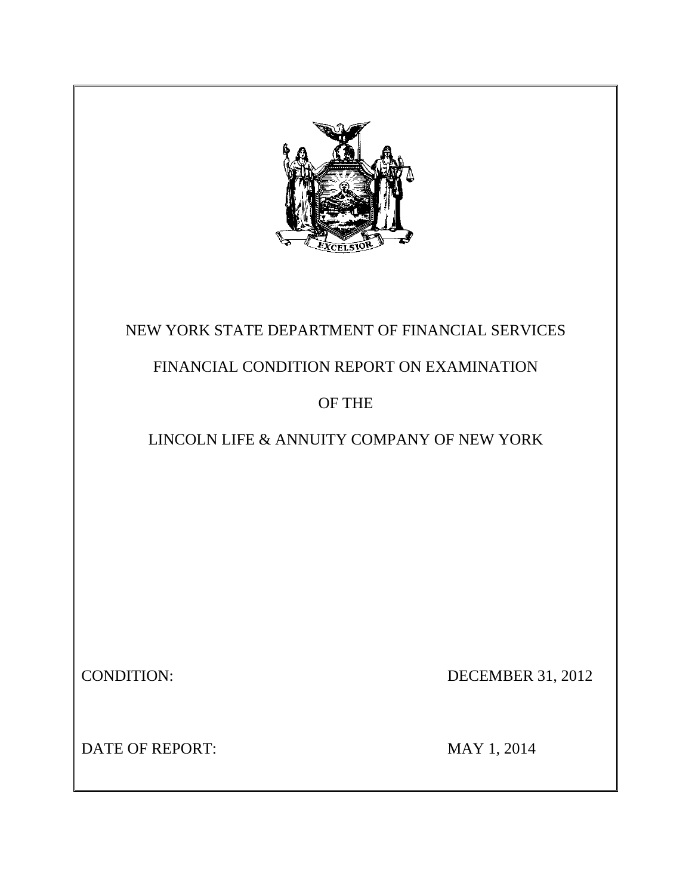

## NEW YORK STATE DEPARTMENT OF FINANCIAL SERVICES

## FINANCIAL CONDITION REPORT ON EXAMINATION

## OF THE

## LINCOLN LIFE & ANNUITY COMPANY OF NEW YORK

CONDITION: DECEMBER 31, 2012

DATE OF REPORT: MAY 1, 2014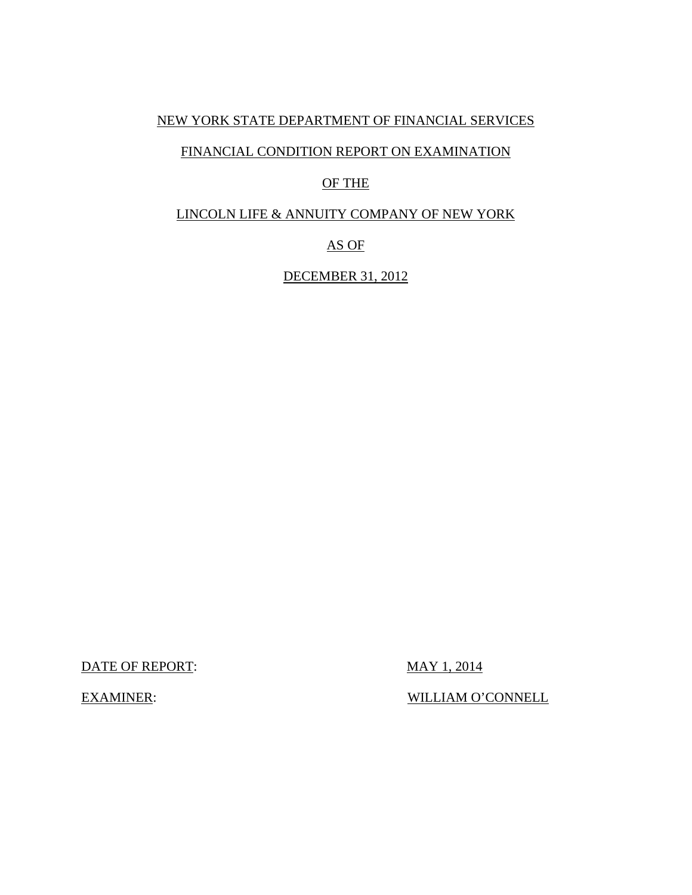### NEW YORK STATE DEPARTMENT OF FINANCIAL SERVICES

### FINANCIAL CONDITION REPORT ON EXAMINATION

## OF THE

## LINCOLN LIFE & ANNUITY COMPANY OF NEW YORK

### AS OF

## DECEMBER 31, 2012

DATE OF REPORT: MAY 1, 2014

EXAMINER: WILLIAM O'CONNELL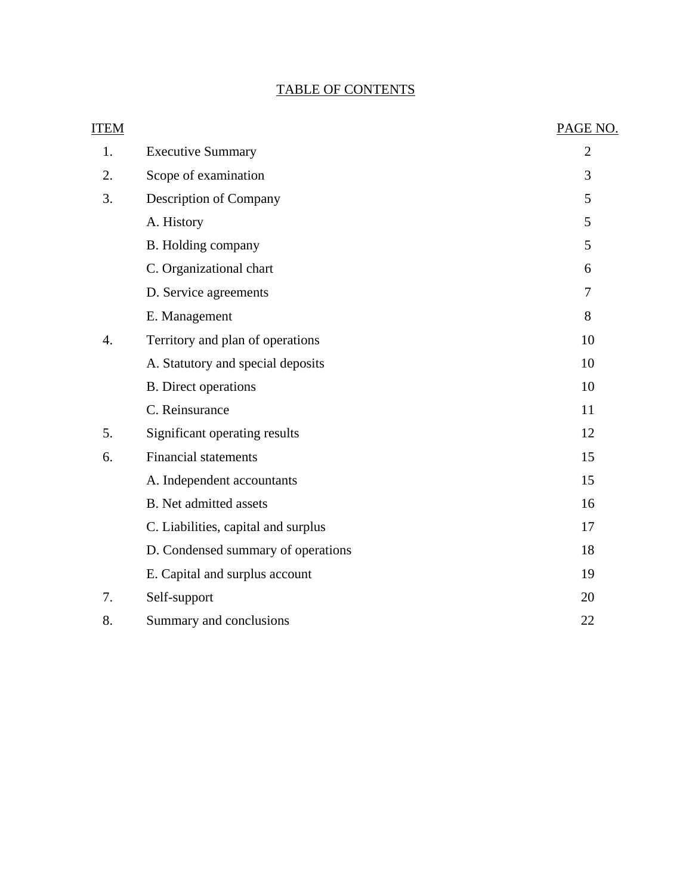## TABLE OF CONTENTS

| <b>ITEM</b> |                                     | PAGE NO.       |
|-------------|-------------------------------------|----------------|
| 1.          | <b>Executive Summary</b>            | $\overline{2}$ |
| 2.          | Scope of examination                | 3              |
| 3.          | Description of Company              | 5              |
|             | A. History                          | 5              |
|             | B. Holding company                  | 5              |
|             | C. Organizational chart             | 6              |
|             | D. Service agreements               | $\tau$         |
|             | E. Management                       | 8              |
| 4.          | Territory and plan of operations    | 10             |
|             | A. Statutory and special deposits   | 10             |
|             | <b>B.</b> Direct operations         | 10             |
|             | C. Reinsurance                      | 11             |
| 5.          | Significant operating results       | 12             |
| 6.          | <b>Financial statements</b>         | 15             |
|             | A. Independent accountants          | 15             |
|             | <b>B.</b> Net admitted assets       | 16             |
|             | C. Liabilities, capital and surplus | 17             |
|             | D. Condensed summary of operations  | 18             |
|             | E. Capital and surplus account      | 19             |
| 7.          | Self-support                        | 20             |
| 8.          | Summary and conclusions             | 22             |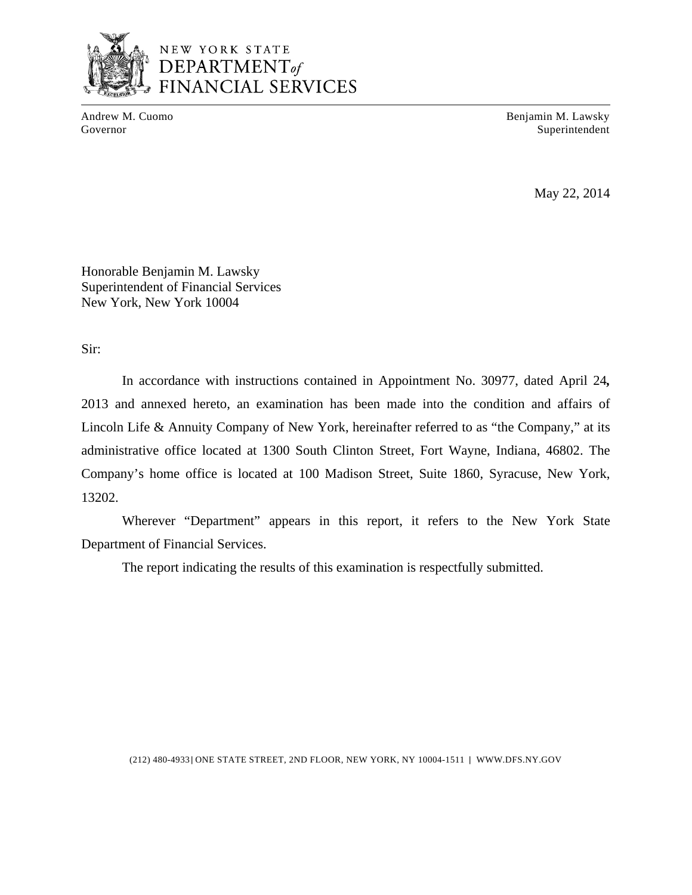

## NEW YORK STATE  $\overline{\text{DEPENDENT}}$ **SCIAL SERVICES**

Andrew M. Cuomo **Benjamin M. Lawsky** Governor Superintendent Superintendent Superintendent Superintendent Superintendent Superintendent Superintendent Superintendent Superintendent Superintendent Superintendent Superintendent Superintendent Superintendent Sup

May 22, 2014

Honorable Benjamin M. Lawsky Superintendent of Financial Services New York, New York 10004

Sir:

In accordance with instructions contained in Appointment No. 30977, dated April 24*,*  2013 and annexed hereto, an examination has been made into the condition and affairs of Lincoln Life & Annuity Company of New York, hereinafter referred to as "the Company," at its administrative office located at 1300 South Clinton Street, Fort Wayne, Indiana, 46802. The Company's home office is located at 100 Madison Street, Suite 1860, Syracuse, New York, 13202.

Wherever "Department" appears in this report, it refers to the New York State Department of Financial Services.

The report indicating the results of this examination is respectfully submitted.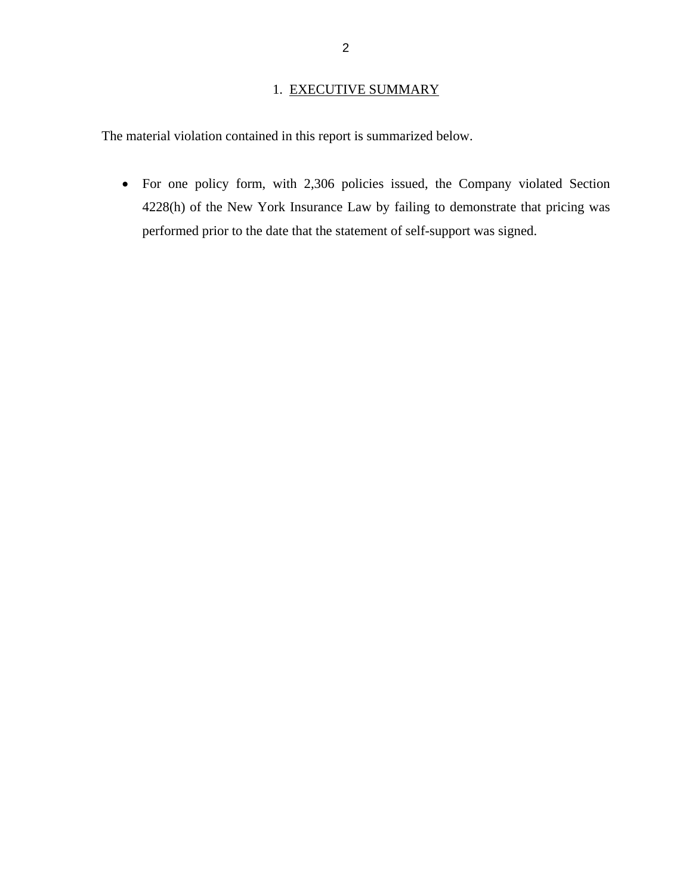## 1. EXECUTIVE SUMMARY

<span id="page-4-0"></span>The material violation contained in this report is summarized below.

 For one policy form, with 2,306 policies issued, the Company violated Section 4228(h) of the New York Insurance Law by failing to demonstrate that pricing was performed prior to the date that the statement of self-support was signed.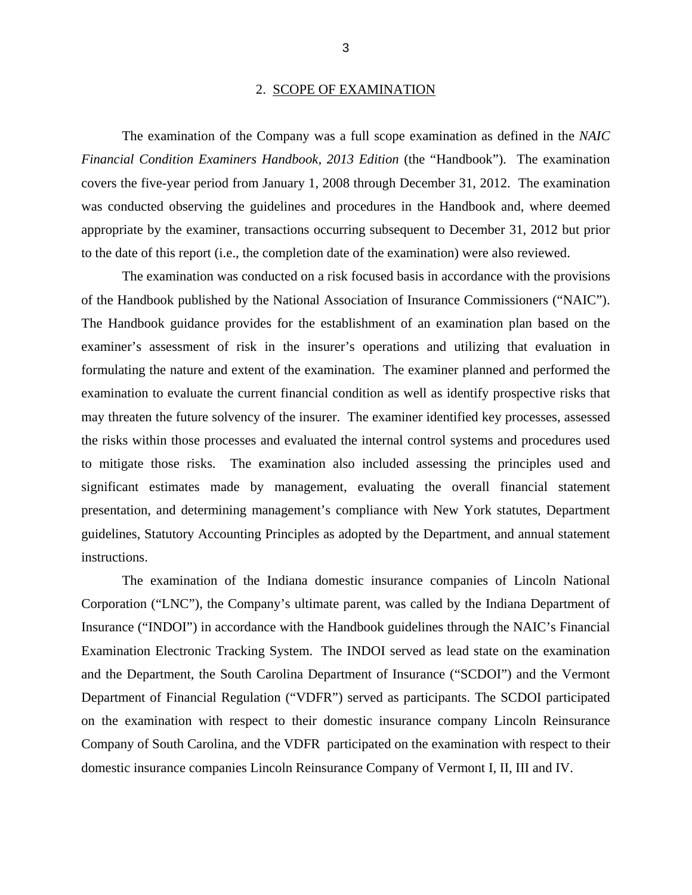#### 2. SCOPE OF EXAMINATION

<span id="page-5-0"></span>The examination of the Company was a full scope examination as defined in the *NAIC Financial Condition Examiners Handbook, 2013 Edition* (the "Handbook"). The examination covers the five-year period from January 1, 2008 through December 31, 2012. The examination was conducted observing the guidelines and procedures in the Handbook and, where deemed appropriate by the examiner, transactions occurring subsequent to December 31, 2012 but prior to the date of this report (i.e., the completion date of the examination) were also reviewed.

The examination was conducted on a risk focused basis in accordance with the provisions of the Handbook published by the National Association of Insurance Commissioners ("NAIC"). The Handbook guidance provides for the establishment of an examination plan based on the examiner's assessment of risk in the insurer's operations and utilizing that evaluation in formulating the nature and extent of the examination. The examiner planned and performed the examination to evaluate the current financial condition as well as identify prospective risks that may threaten the future solvency of the insurer. The examiner identified key processes, assessed the risks within those processes and evaluated the internal control systems and procedures used to mitigate those risks. The examination also included assessing the principles used and significant estimates made by management, evaluating the overall financial statement presentation, and determining management's compliance with New York statutes, Department guidelines, Statutory Accounting Principles as adopted by the Department, and annual statement instructions.

The examination of the Indiana domestic insurance companies of Lincoln National Corporation ("LNC"), the Company's ultimate parent, was called by the Indiana Department of Insurance ("INDOI") in accordance with the Handbook guidelines through the NAIC's Financial Examination Electronic Tracking System. The INDOI served as lead state on the examination and the Department, the South Carolina Department of Insurance ("SCDOI") and the Vermont Department of Financial Regulation ("VDFR") served as participants. The SCDOI participated on the examination with respect to their domestic insurance company Lincoln Reinsurance Company of South Carolina, and the VDFR participated on the examination with respect to their domestic insurance companies Lincoln Reinsurance Company of Vermont I, II, III and IV.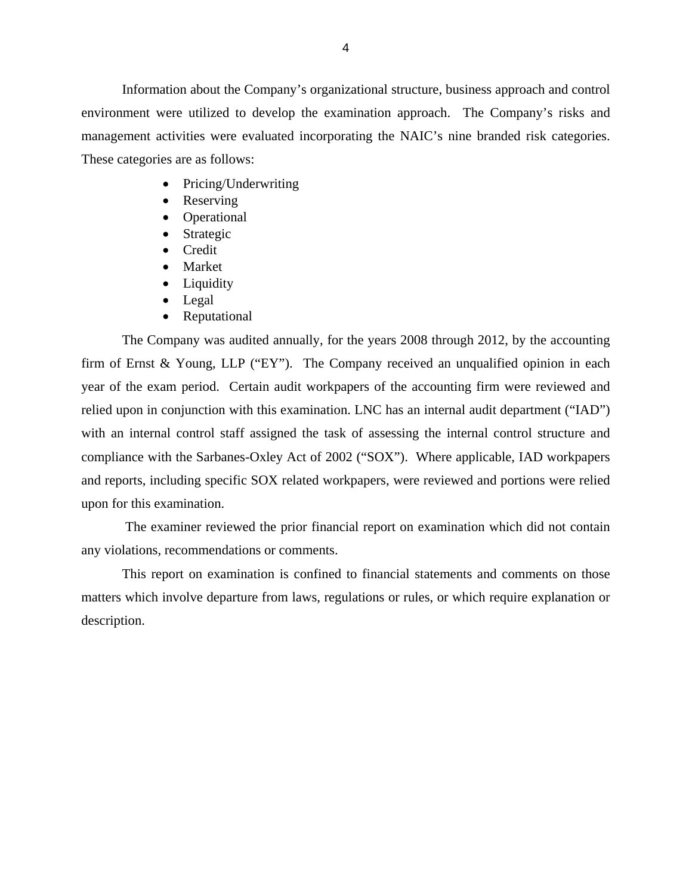Information about the Company's organizational structure, business approach and control environment were utilized to develop the examination approach. The Company's risks and management activities were evaluated incorporating the NAIC's nine branded risk categories. These categories are as follows:

- Pricing/Underwriting
- Reserving
- Operational
- Strategic
- Credit
- Market
- Liquidity
- Legal
- Reputational

The Company was audited annually, for the years 2008 through 2012, by the accounting firm of Ernst & Young, LLP ("EY"). The Company received an unqualified opinion in each year of the exam period. Certain audit workpapers of the accounting firm were reviewed and relied upon in conjunction with this examination. LNC has an internal audit department ("IAD") with an internal control staff assigned the task of assessing the internal control structure and compliance with the Sarbanes-Oxley Act of 2002 ("SOX"). Where applicable, IAD workpapers and reports, including specific SOX related workpapers, were reviewed and portions were relied upon for this examination.

The examiner reviewed the prior financial report on examination which did not contain any violations, recommendations or comments.

This report on examination is confined to financial statements and comments on those matters which involve departure from laws, regulations or rules, or which require explanation or description.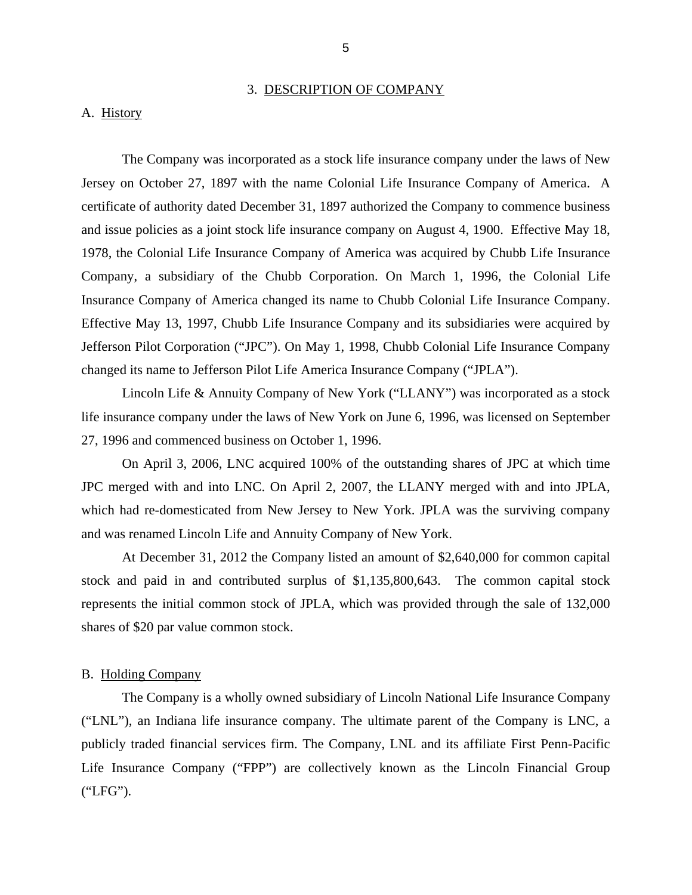#### 3. DESCRIPTION OF COMPANY

#### <span id="page-7-0"></span>A. History

The Company was incorporated as a stock life insurance company under the laws of New Jersey on October 27, 1897 with the name Colonial Life Insurance Company of America. A certificate of authority dated December 31, 1897 authorized the Company to commence business and issue policies as a joint stock life insurance company on August 4, 1900. Effective May 18, 1978, the Colonial Life Insurance Company of America was acquired by Chubb Life Insurance Company, a subsidiary of the Chubb Corporation. On March 1, 1996, the Colonial Life Insurance Company of America changed its name to Chubb Colonial Life Insurance Company. Effective May 13, 1997, Chubb Life Insurance Company and its subsidiaries were acquired by Jefferson Pilot Corporation ("JPC"). On May 1, 1998, Chubb Colonial Life Insurance Company changed its name to Jefferson Pilot Life America Insurance Company ("JPLA").

Lincoln Life & Annuity Company of New York ("LLANY") was incorporated as a stock life insurance company under the laws of New York on June 6, 1996, was licensed on September 27, 1996 and commenced business on October 1, 1996.

On April 3, 2006, LNC acquired 100% of the outstanding shares of JPC at which time JPC merged with and into LNC. On April 2, 2007, the LLANY merged with and into JPLA, which had re-domesticated from New Jersey to New York. JPLA was the surviving company and was renamed Lincoln Life and Annuity Company of New York.

At December 31, 2012 the Company listed an amount of \$2,640,000 for common capital stock and paid in and contributed surplus of \$1,135,800,643. The common capital stock represents the initial common stock of JPLA, which was provided through the sale of 132,000 shares of \$20 par value common stock.

#### B. Holding Company

The Company is a wholly owned subsidiary of Lincoln National Life Insurance Company ("LNL"), an Indiana life insurance company. The ultimate parent of the Company is LNC, a publicly traded financial services firm. The Company, LNL and its affiliate First Penn-Pacific Life Insurance Company ("FPP") are collectively known as the Lincoln Financial Group ("LFG").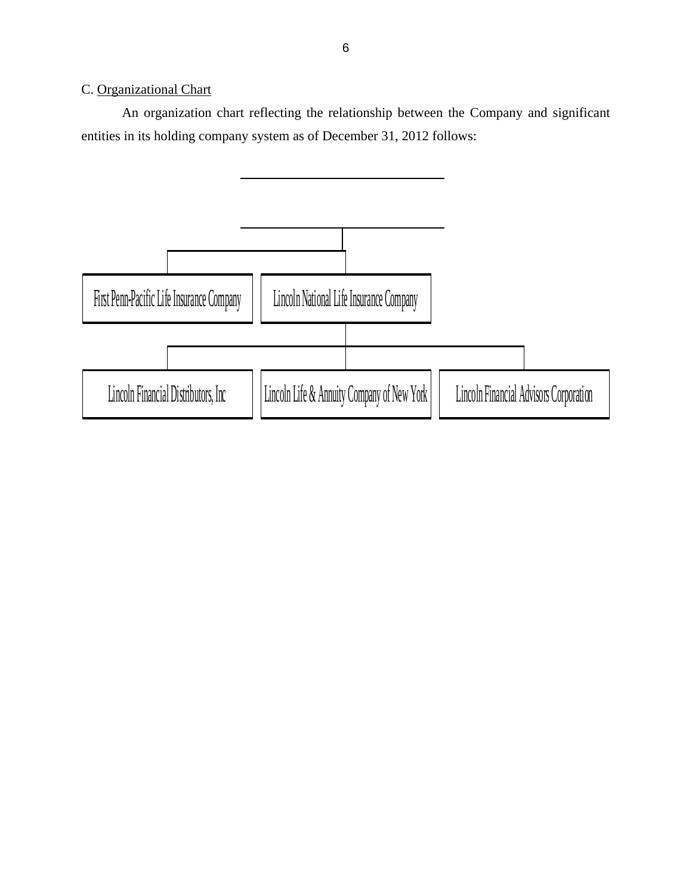## <span id="page-8-0"></span>C. Organizational Chart

An organization chart reflecting the relationship between the Company and significant entities in its holding company system as of December 31, 2012 follows:

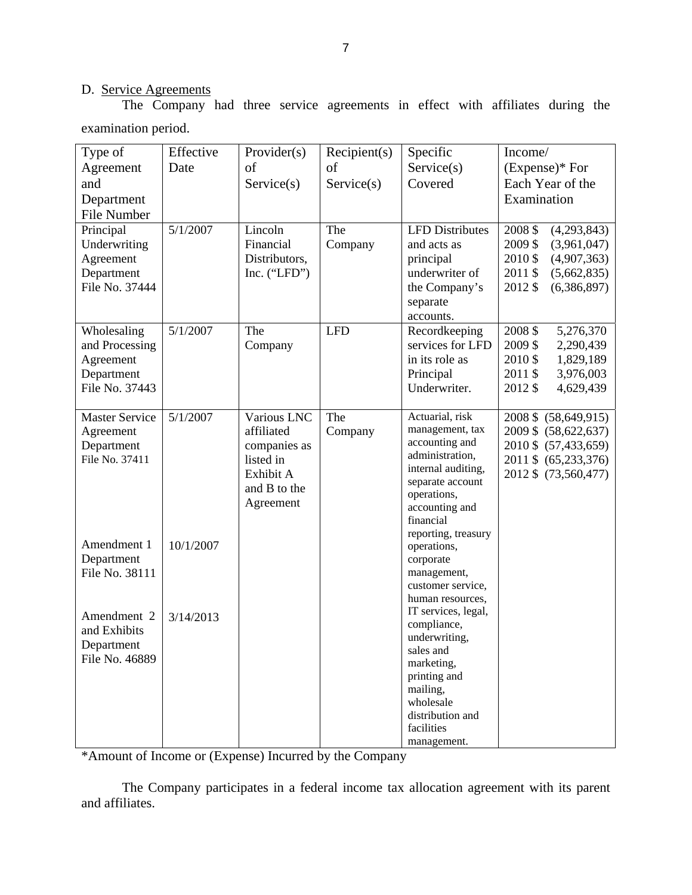## D. Service Agreements

The Company had three service agreements in effect with affiliates during the examination period.

| Type of<br>Agreement<br>and<br>Department<br>File Number                   | Effective<br>Date | Provider(s)<br>of<br>Service(s)                                                                  | Recipient(s)<br>of<br>Service(s) | Specific<br>Service(s)<br>Covered                                                                                                                                                      | Income/<br>$(Express)*$ For<br>Each Year of the<br>Examination                                                                |
|----------------------------------------------------------------------------|-------------------|--------------------------------------------------------------------------------------------------|----------------------------------|----------------------------------------------------------------------------------------------------------------------------------------------------------------------------------------|-------------------------------------------------------------------------------------------------------------------------------|
| Principal<br>Underwriting<br>Agreement<br>Department<br>File No. 37444     | 5/1/2007          | Lincoln<br>Financial<br>Distributors,<br>Inc. $("LFD")$                                          | The<br>Company                   | <b>LFD</b> Distributes<br>and acts as<br>principal<br>underwriter of<br>the Company's<br>separate<br>accounts.                                                                         | 2008 \$<br>(4,293,843)<br>2009\$<br>(3,961,047)<br>2010 \$<br>(4,907,363)<br>2011 \$<br>(5,662,835)<br>(6,386,897)<br>2012 \$ |
| Wholesaling<br>and Processing<br>Agreement<br>Department<br>File No. 37443 | 5/1/2007          | The<br>Company                                                                                   | <b>LFD</b>                       | Recordkeeping<br>services for LFD<br>in its role as<br>Principal<br>Underwriter.                                                                                                       | 2008 \$<br>5,276,370<br>2009\$<br>2,290,439<br>2010 \$<br>1,829,189<br>3,976,003<br>2011 \$<br>4,629,439<br>2012 \$           |
| <b>Master Service</b><br>Agreement<br>Department<br>File No. 37411         | 5/1/2007          | Various LNC<br>affiliated<br>companies as<br>listed in<br>Exhibit A<br>and B to the<br>Agreement | The<br>Company                   | Actuarial, risk<br>management, tax<br>accounting and<br>administration,<br>internal auditing,<br>separate account<br>operations,<br>accounting and<br>financial<br>reporting, treasury | 2008 \$ (58,649,915)<br>2009 \$ (58,622,637)<br>2010 \$ (57,433,659)<br>2011 \$ (65,233,376)<br>2012 \$ (73,560,477)          |
| Amendment 1<br>Department<br>File No. 38111                                | 10/1/2007         |                                                                                                  |                                  | operations,<br>corporate<br>management,<br>customer service,<br>human resources,                                                                                                       |                                                                                                                               |
| Amendment 2<br>and Exhibits<br>Department<br>File No. 46889                | 3/14/2013         |                                                                                                  |                                  | IT services, legal,<br>compliance,<br>underwriting,<br>sales and<br>marketing,<br>printing and<br>mailing,<br>wholesale<br>distribution and<br>facilities<br>management.               |                                                                                                                               |

\*Amount of Income or (Expense) Incurred by the Company

The Company participates in a federal income tax allocation agreement with its parent and affiliates.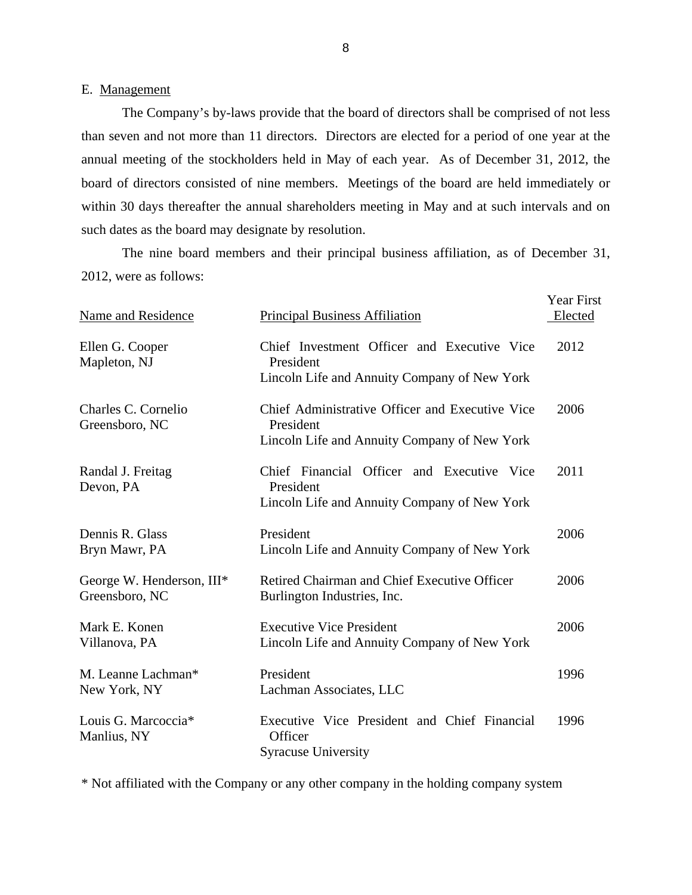#### E. Management

The Company's by-laws provide that the board of directors shall be comprised of not less than seven and not more than 11 directors. Directors are elected for a period of one year at the annual meeting of the stockholders held in May of each year. As of December 31, 2012, the board of directors consisted of nine members. Meetings of the board are held immediately or within 30 days thereafter the annual shareholders meeting in May and at such intervals and on such dates as the board may designate by resolution.

The nine board members and their principal business affiliation, as of December 31, 2012, were as follows:

| Name and Residence                          | <b>Principal Business Affiliation</b>                                                                        | Year First<br>Elected |
|---------------------------------------------|--------------------------------------------------------------------------------------------------------------|-----------------------|
| Ellen G. Cooper<br>Mapleton, NJ             | Chief Investment Officer and Executive Vice<br>President<br>Lincoln Life and Annuity Company of New York     | 2012                  |
| Charles C. Cornelio<br>Greensboro, NC       | Chief Administrative Officer and Executive Vice<br>President<br>Lincoln Life and Annuity Company of New York | 2006                  |
| Randal J. Freitag<br>Devon, PA              | Chief Financial Officer and Executive Vice<br>President<br>Lincoln Life and Annuity Company of New York      | 2011                  |
| Dennis R. Glass<br>Bryn Mawr, PA            | President<br>Lincoln Life and Annuity Company of New York                                                    | 2006                  |
| George W. Henderson, III*<br>Greensboro, NC | Retired Chairman and Chief Executive Officer<br>Burlington Industries, Inc.                                  | 2006                  |
| Mark E. Konen<br>Villanova, PA              | <b>Executive Vice President</b><br>Lincoln Life and Annuity Company of New York                              | 2006                  |
| M. Leanne Lachman*<br>New York, NY          | President<br>Lachman Associates, LLC                                                                         | 1996                  |
| Louis G. Marcoccia*<br>Manlius, NY          | Executive Vice President and Chief Financial<br>Officer<br><b>Syracuse University</b>                        | 1996                  |

\* Not affiliated with the Company or any other company in the holding company system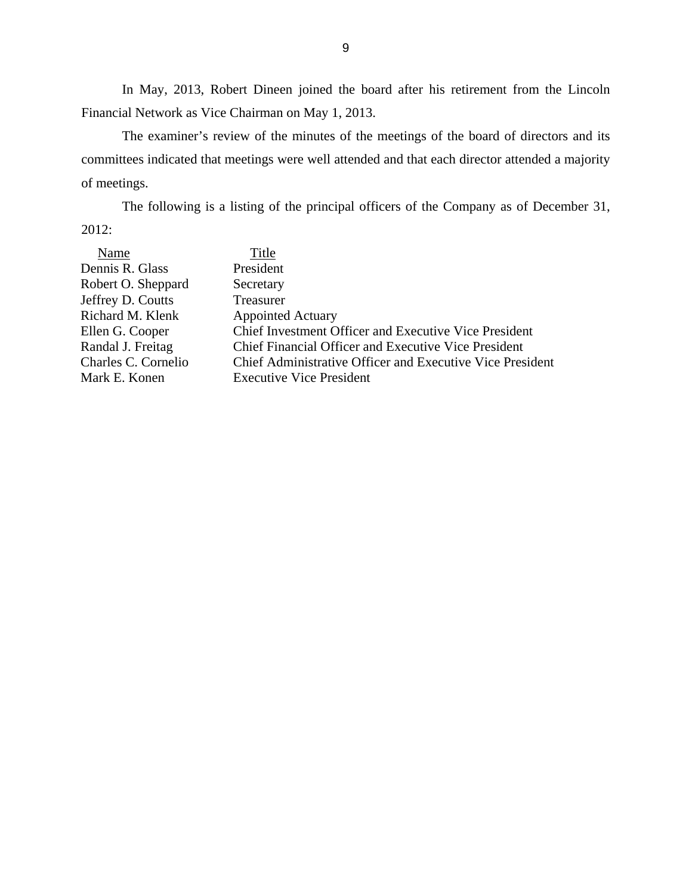In May, 2013, Robert Dineen joined the board after his retirement from the Lincoln Financial Network as Vice Chairman on May 1, 2013.

The examiner's review of the minutes of the meetings of the board of directors and its committees indicated that meetings were well attended and that each director attended a majority of meetings.

The following is a listing of the principal officers of the Company as of December 31, 2012:

| Name                | Title                                                            |
|---------------------|------------------------------------------------------------------|
| Dennis R. Glass     | President                                                        |
| Robert O. Sheppard  | Secretary                                                        |
| Jeffrey D. Coutts   | Treasurer                                                        |
| Richard M. Klenk    | <b>Appointed Actuary</b>                                         |
| Ellen G. Cooper     | <b>Chief Investment Officer and Executive Vice President</b>     |
| Randal J. Freitag   | <b>Chief Financial Officer and Executive Vice President</b>      |
| Charles C. Cornelio | <b>Chief Administrative Officer and Executive Vice President</b> |
| Mark E. Konen       | <b>Executive Vice President</b>                                  |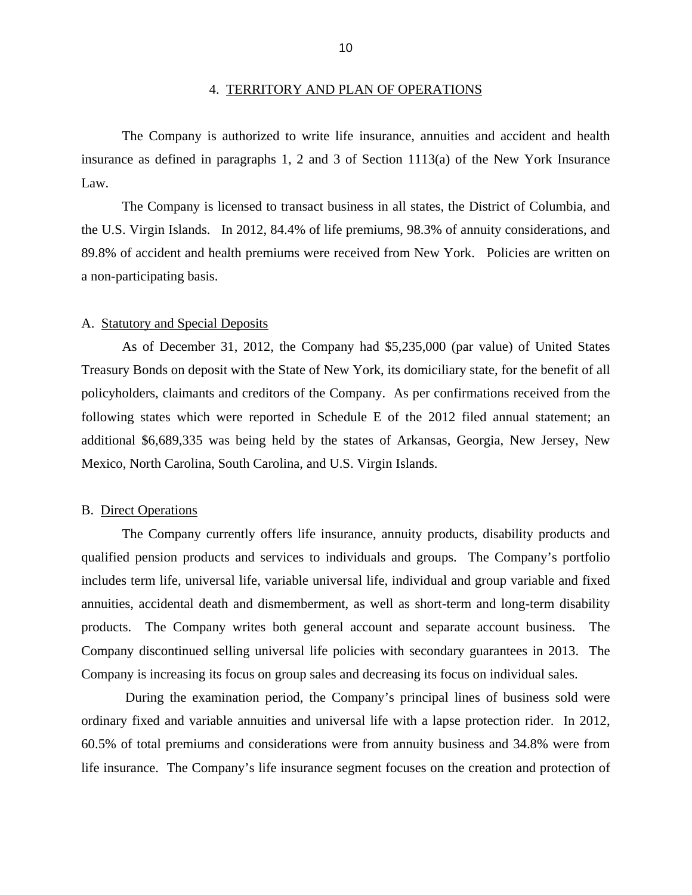#### 4. TERRITORY AND PLAN OF OPERATIONS

<span id="page-12-0"></span>The Company is authorized to write life insurance, annuities and accident and health insurance as defined in paragraphs 1, 2 and 3 of Section 1113(a) of the New York Insurance Law.

The Company is licensed to transact business in all states, the District of Columbia, and the U.S. Virgin Islands. In 2012, 84.4% of life premiums, 98.3% of annuity considerations, and 89.8% of accident and health premiums were received from New York. Policies are written on a non-participating basis.

#### A. Statutory and Special Deposits

As of December 31, 2012, the Company had \$5,235,000 (par value) of United States Treasury Bonds on deposit with the State of New York, its domiciliary state, for the benefit of all policyholders, claimants and creditors of the Company. As per confirmations received from the following states which were reported in Schedule E of the 2012 filed annual statement; an additional \$6,689,335 was being held by the states of Arkansas, Georgia, New Jersey, New Mexico, North Carolina, South Carolina, and U.S. Virgin Islands.

#### B. Direct Operations

The Company currently offers life insurance, annuity products, disability products and qualified pension products and services to individuals and groups. The Company's portfolio includes term life, universal life, variable universal life, individual and group variable and fixed annuities, accidental death and dismemberment, as well as short-term and long-term disability products. The Company writes both general account and separate account business. The Company discontinued selling universal life policies with secondary guarantees in 2013. The Company is increasing its focus on group sales and decreasing its focus on individual sales.

During the examination period, the Company's principal lines of business sold were ordinary fixed and variable annuities and universal life with a lapse protection rider. In 2012, 60.5% of total premiums and considerations were from annuity business and 34.8% were from life insurance. The Company's life insurance segment focuses on the creation and protection of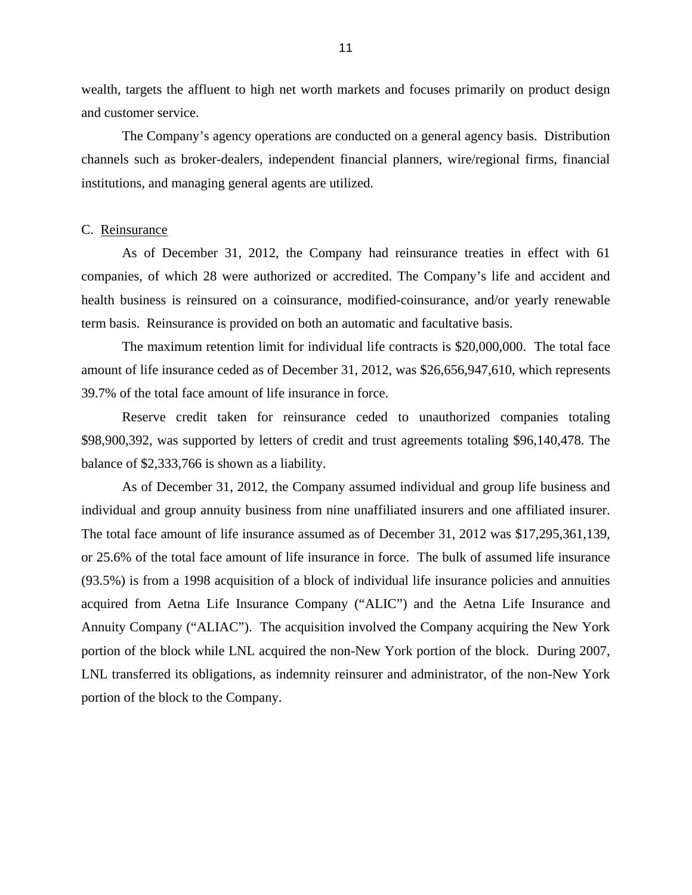<span id="page-13-0"></span>wealth, targets the affluent to high net worth markets and focuses primarily on product design and customer service.

The Company's agency operations are conducted on a general agency basis. Distribution channels such as broker-dealers, independent financial planners, wire/regional firms, financial institutions, and managing general agents are utilized.

#### C. Reinsurance

As of December 31, 2012, the Company had reinsurance treaties in effect with 61 companies, of which 28 were authorized or accredited. The Company's life and accident and health business is reinsured on a coinsurance, modified-coinsurance, and/or yearly renewable term basis. Reinsurance is provided on both an automatic and facultative basis.

The maximum retention limit for individual life contracts is \$20,000,000. The total face amount of life insurance ceded as of December 31, 2012, was \$26,656,947,610, which represents 39.7% of the total face amount of life insurance in force.

Reserve credit taken for reinsurance ceded to unauthorized companies totaling \$98,900,392, was supported by letters of credit and trust agreements totaling \$96,140,478. The balance of \$2,333,766 is shown as a liability.

As of December 31, 2012, the Company assumed individual and group life business and individual and group annuity business from nine unaffiliated insurers and one affiliated insurer. The total face amount of life insurance assumed as of December 31, 2012 was \$17,295,361,139, or 25.6% of the total face amount of life insurance in force. The bulk of assumed life insurance (93.5%) is from a 1998 acquisition of a block of individual life insurance policies and annuities acquired from Aetna Life Insurance Company ("ALIC") and the Aetna Life Insurance and Annuity Company ("ALIAC"). The acquisition involved the Company acquiring the New York portion of the block while LNL acquired the non-New York portion of the block. During 2007, LNL transferred its obligations, as indemnity reinsurer and administrator, of the non-New York portion of the block to the Company.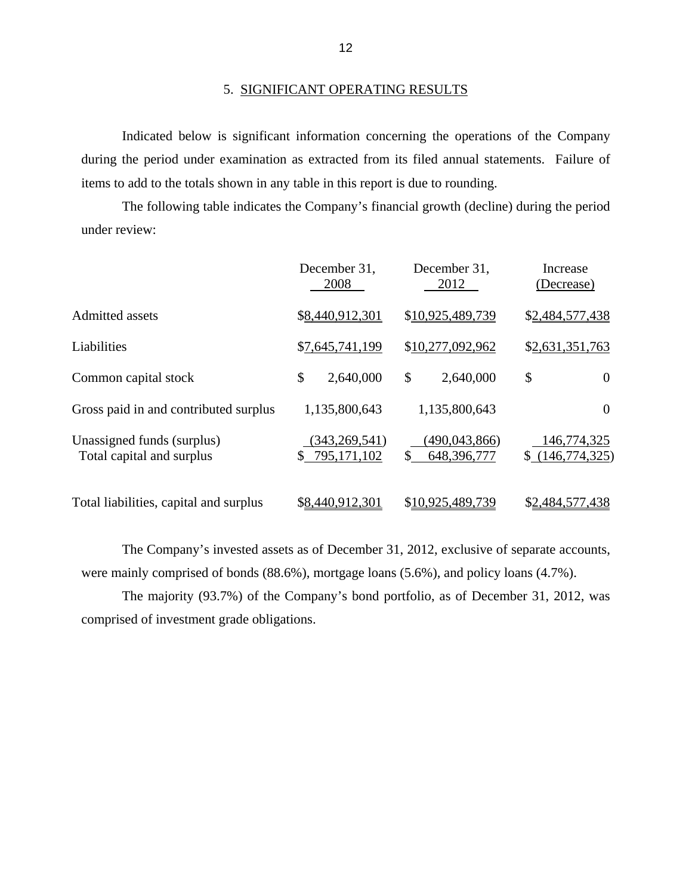#### 5. SIGNIFICANT OPERATING RESULTS

Indicated below is significant information concerning the operations of the Company during the period under examination as extracted from its filed annual statements. Failure of items to add to the totals shown in any table in this report is due to rounding.

The following table indicates the Company's financial growth (decline) during the period under review:

|                                                         | December 31,<br>2008             | December 31,<br>2012                 | Increase<br>(Decrease)         |
|---------------------------------------------------------|----------------------------------|--------------------------------------|--------------------------------|
| Admitted assets                                         | \$8,440,912,301                  | \$10,925,489,739                     | \$2,484,577,438                |
| Liabilities                                             | \$7,645,741,199                  | \$10,277,092,962                     | \$2,631,351,763                |
| Common capital stock                                    | \$<br>2,640,000                  | \$<br>2,640,000                      | \$<br>$\overline{0}$           |
| Gross paid in and contributed surplus                   | 1,135,800,643                    | 1,135,800,643                        | $\overline{0}$                 |
| Unassigned funds (surplus)<br>Total capital and surplus | (343, 269, 541)<br>\$795,171,102 | (490, 043, 866)<br>\$<br>648,396,777 | 146,774,325<br>\$(146,774,325) |
| Total liabilities, capital and surplus                  | \$8,440,912,301                  | \$10,925,489,739                     | \$2,484,577,438                |

The Company's invested assets as of December 31, 2012, exclusive of separate accounts, were mainly comprised of bonds (88.6%), mortgage loans (5.6%), and policy loans (4.7%).

The majority (93.7%) of the Company's bond portfolio, as of December 31, 2012, was comprised of investment grade obligations.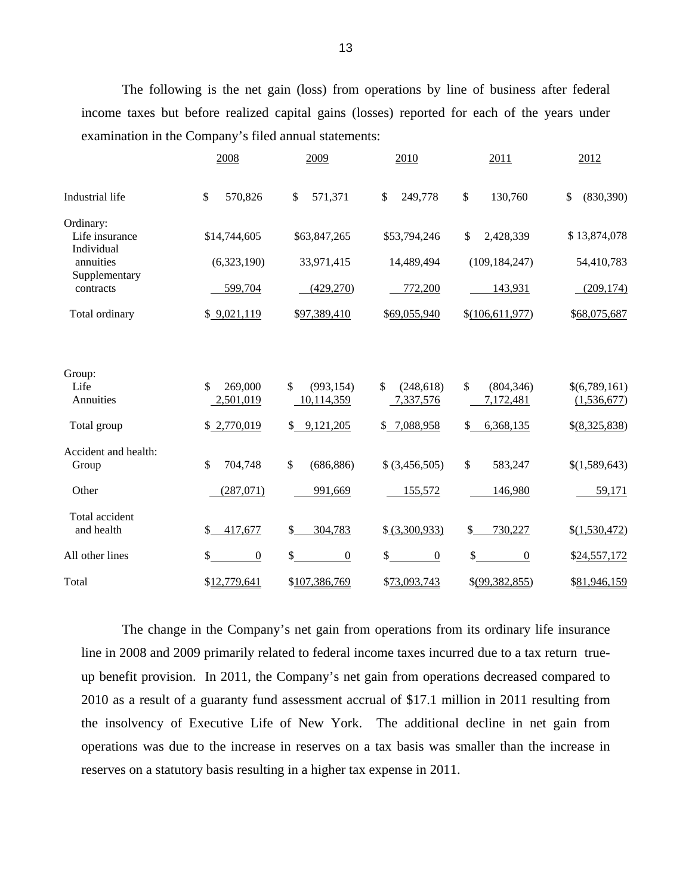The following is the net gain (loss) from operations by line of business after federal income taxes but before realized capital gains (losses) reported for each of the years under examination in the Company's filed annual statements:

|                                           | 2008                                  | 2009                           | 2010                          | 2011                          | 2012                         |
|-------------------------------------------|---------------------------------------|--------------------------------|-------------------------------|-------------------------------|------------------------------|
| Industrial life                           | \$<br>570,826                         | \$<br>571,371                  | \$<br>249,778                 | \$<br>130,760                 | \$<br>(830, 390)             |
| Ordinary:<br>Life insurance<br>Individual | \$14,744,605                          | \$63,847,265                   | \$53,794,246                  | \$<br>2,428,339               | \$13,874,078                 |
| annuities                                 | (6,323,190)                           | 33,971,415                     | 14,489,494                    | (109, 184, 247)               | 54,410,783                   |
| Supplementary<br>contracts                | 599,704                               | (429,270)                      | 772,200                       | 143,931                       | (209, 174)                   |
| Total ordinary                            | \$9,021,119                           | \$97,389,410                   | \$69,055,940                  | \$(106,611,977)               | \$68,075,687                 |
|                                           |                                       |                                |                               |                               |                              |
| Group:                                    |                                       |                                |                               |                               |                              |
| Life<br>Annuities                         | $\mathcal{S}$<br>269,000<br>2,501,019 | \$<br>(993, 154)<br>10,114,359 | \$<br>(248, 618)<br>7,337,576 | \$<br>(804, 346)<br>7,172,481 | \$(6,789,161)<br>(1,536,677) |
|                                           |                                       |                                |                               |                               |                              |
| Total group                               | \$2,770,019                           | \$9,121,205                    | \$7,088,958                   | \$<br>6,368,135               | \$(8,325,838)                |
| Accident and health:<br>Group             | \$<br>704,748                         | $\mathbb{S}$<br>(686, 886)     | $$$ $(3,456,505)$             | $\mathbb{S}$<br>583,247       | \$(1,589,643)                |
| Other                                     | (287,071)                             | 991,669                        | 155,572                       | 146,980                       | 59,171                       |
| Total accident                            |                                       |                                |                               |                               |                              |
| and health                                | \$<br>417,677                         | \$<br>304,783                  | \$ (3,300,933)                | \$<br>730,227                 | \$(1,530,472)                |
| All other lines                           | \$<br>$\boldsymbol{0}$                | \$<br>$\boldsymbol{0}$         | \$<br>$\boldsymbol{0}$        | \$<br>$\boldsymbol{0}$        | \$24,557,172                 |
| Total                                     | \$12,779,641                          | \$107,386,769                  | \$73,093,743                  | \$(99, 382, 855)              | \$81,946,159                 |

The change in the Company's net gain from operations from its ordinary life insurance line in 2008 and 2009 primarily related to federal income taxes incurred due to a tax return trueup benefit provision. In 2011, the Company's net gain from operations decreased compared to 2010 as a result of a guaranty fund assessment accrual of \$17.1 million in 2011 resulting from the insolvency of Executive Life of New York. The additional decline in net gain from operations was due to the increase in reserves on a tax basis was smaller than the increase in reserves on a statutory basis resulting in a higher tax expense in 2011.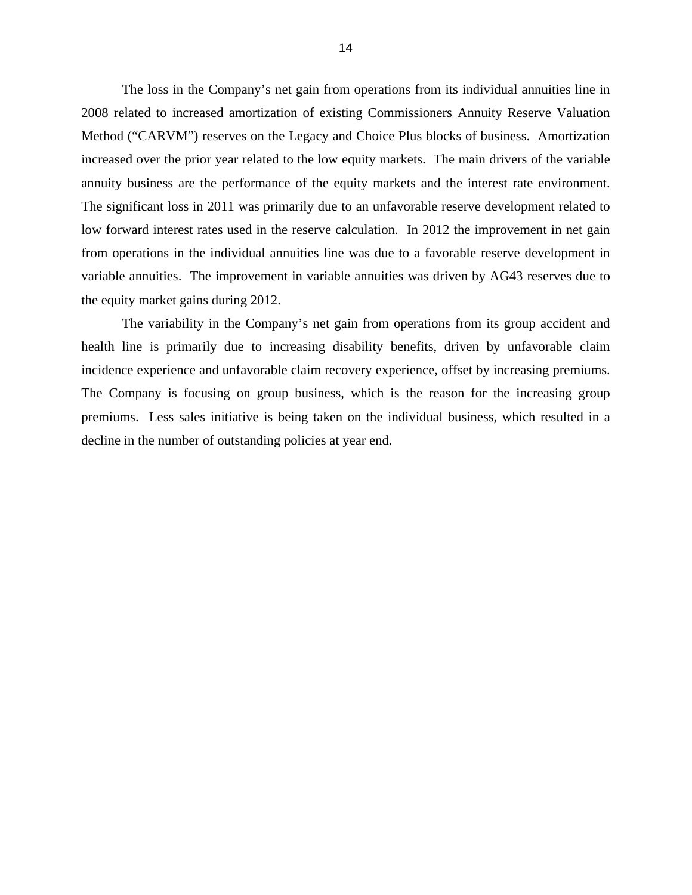The loss in the Company's net gain from operations from its individual annuities line in 2008 related to increased amortization of existing Commissioners Annuity Reserve Valuation Method ("CARVM") reserves on the Legacy and Choice Plus blocks of business. Amortization increased over the prior year related to the low equity markets. The main drivers of the variable annuity business are the performance of the equity markets and the interest rate environment. The significant loss in 2011 was primarily due to an unfavorable reserve development related to low forward interest rates used in the reserve calculation. In 2012 the improvement in net gain from operations in the individual annuities line was due to a favorable reserve development in variable annuities. The improvement in variable annuities was driven by AG43 reserves due to the equity market gains during 2012.

The variability in the Company's net gain from operations from its group accident and health line is primarily due to increasing disability benefits, driven by unfavorable claim incidence experience and unfavorable claim recovery experience, offset by increasing premiums. The Company is focusing on group business, which is the reason for the increasing group premiums. Less sales initiative is being taken on the individual business, which resulted in a decline in the number of outstanding policies at year end.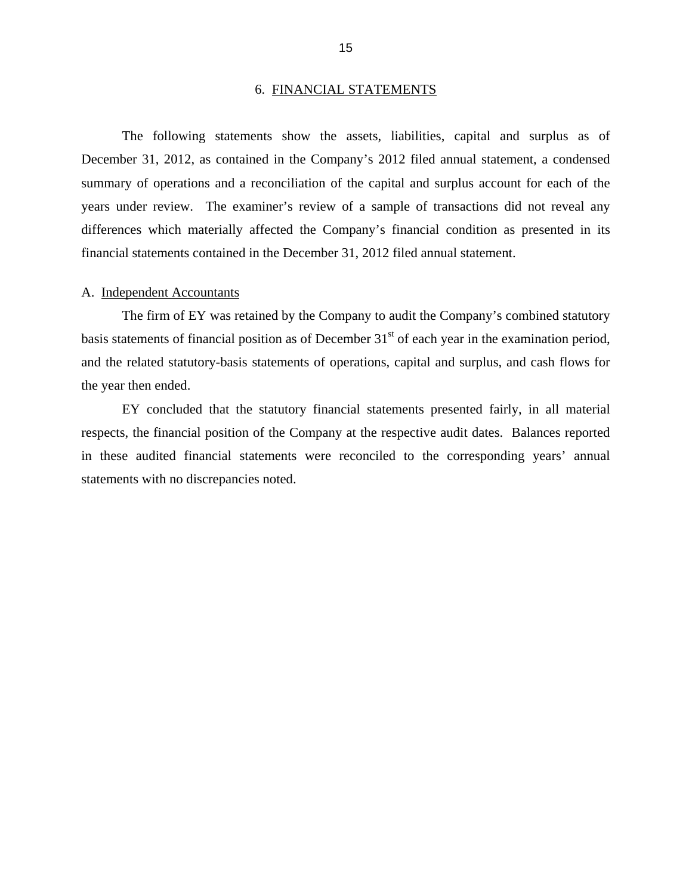#### 6. FINANCIAL STATEMENTS

<span id="page-17-0"></span>The following statements show the assets, liabilities, capital and surplus as of December 31, 2012, as contained in the Company's 2012 filed annual statement, a condensed summary of operations and a reconciliation of the capital and surplus account for each of the years under review. The examiner's review of a sample of transactions did not reveal any differences which materially affected the Company's financial condition as presented in its financial statements contained in the December 31, 2012 filed annual statement.

#### A. Independent Accountants

The firm of EY was retained by the Company to audit the Company's combined statutory basis statements of financial position as of December  $31<sup>st</sup>$  of each year in the examination period, and the related statutory-basis statements of operations, capital and surplus, and cash flows for the year then ended.

EY concluded that the statutory financial statements presented fairly, in all material respects, the financial position of the Company at the respective audit dates. Balances reported in these audited financial statements were reconciled to the corresponding years' annual statements with no discrepancies noted.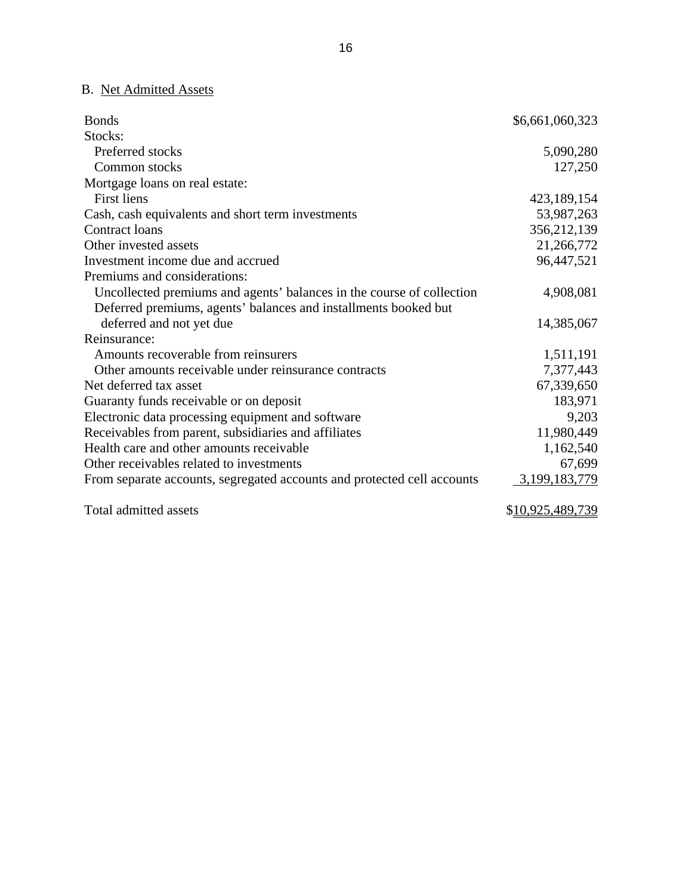## B. Net Admitted Assets

| <b>Bonds</b>                                                            | \$6,661,060,323 |
|-------------------------------------------------------------------------|-----------------|
| Stocks:                                                                 |                 |
| Preferred stocks                                                        | 5,090,280       |
| Common stocks                                                           | 127,250         |
| Mortgage loans on real estate:                                          |                 |
| <b>First liens</b>                                                      | 423,189,154     |
| Cash, cash equivalents and short term investments                       | 53,987,263      |
| Contract loans                                                          | 356,212,139     |
| Other invested assets                                                   | 21,266,772      |
| Investment income due and accrued                                       | 96,447,521      |
| Premiums and considerations:                                            |                 |
| Uncollected premiums and agents' balances in the course of collection   | 4,908,081       |
| Deferred premiums, agents' balances and installments booked but         |                 |
| deferred and not yet due                                                | 14,385,067      |
| Reinsurance:                                                            |                 |
| Amounts recoverable from reinsurers                                     | 1,511,191       |
| Other amounts receivable under reinsurance contracts                    | 7,377,443       |
| Net deferred tax asset                                                  | 67,339,650      |
| Guaranty funds receivable or on deposit                                 | 183,971         |
| Electronic data processing equipment and software                       | 9,203           |
| Receivables from parent, subsidiaries and affiliates                    | 11,980,449      |
| Health care and other amounts receivable                                | 1,162,540       |
| Other receivables related to investments                                | 67,699          |
| From separate accounts, segregated accounts and protected cell accounts | 3,199,183,779   |
|                                                                         |                 |

Total admitted assets  $$10,925,489,739$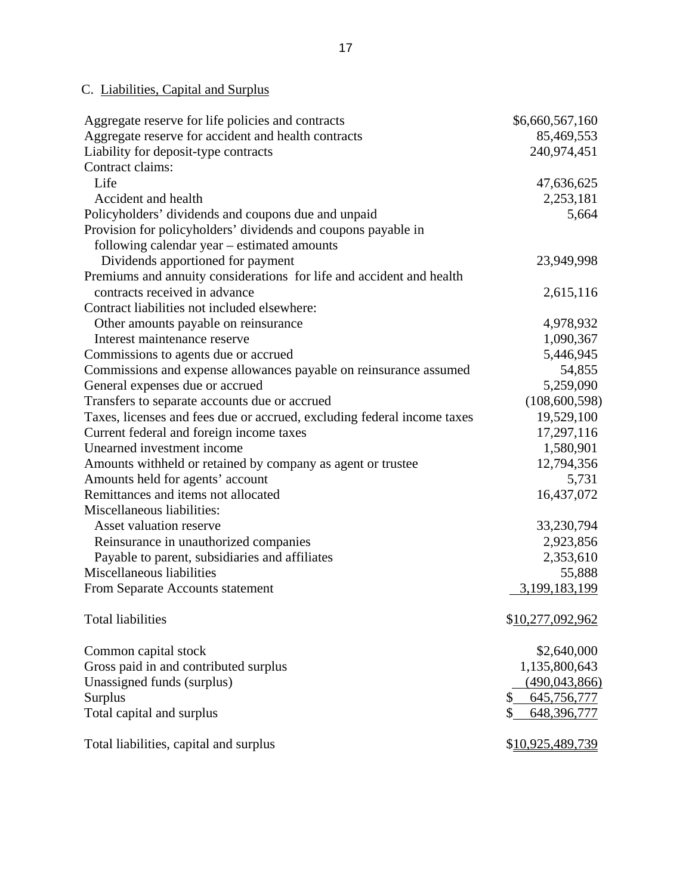## C. Liabilities, Capital and Surplus

| Aggregate reserve for life policies and contracts                       | \$6,660,567,160   |
|-------------------------------------------------------------------------|-------------------|
| Aggregate reserve for accident and health contracts                     | 85,469,553        |
| Liability for deposit-type contracts                                    | 240,974,451       |
| Contract claims:                                                        |                   |
| Life                                                                    | 47,636,625        |
| Accident and health                                                     | 2,253,181         |
| Policyholders' dividends and coupons due and unpaid                     | 5,664             |
| Provision for policyholders' dividends and coupons payable in           |                   |
| following calendar year - estimated amounts                             |                   |
| Dividends apportioned for payment                                       | 23,949,998        |
| Premiums and annuity considerations for life and accident and health    |                   |
| contracts received in advance                                           | 2,615,116         |
| Contract liabilities not included elsewhere:                            |                   |
| Other amounts payable on reinsurance                                    | 4,978,932         |
| Interest maintenance reserve                                            | 1,090,367         |
| Commissions to agents due or accrued                                    | 5,446,945         |
| Commissions and expense allowances payable on reinsurance assumed       | 54,855            |
| General expenses due or accrued                                         | 5,259,090         |
| Transfers to separate accounts due or accrued                           | (108, 600, 598)   |
| Taxes, licenses and fees due or accrued, excluding federal income taxes | 19,529,100        |
| Current federal and foreign income taxes                                | 17,297,116        |
| Unearned investment income                                              | 1,580,901         |
| Amounts withheld or retained by company as agent or trustee             | 12,794,356        |
| Amounts held for agents' account                                        | 5,731             |
| Remittances and items not allocated                                     | 16,437,072        |
| Miscellaneous liabilities:                                              |                   |
| Asset valuation reserve                                                 | 33,230,794        |
| Reinsurance in unauthorized companies                                   | 2,923,856         |
| Payable to parent, subsidiaries and affiliates                          | 2,353,610         |
| Miscellaneous liabilities                                               | 55,888            |
| From Separate Accounts statement                                        | 3,199,183,199     |
|                                                                         |                   |
| <b>Total liabilities</b>                                                | \$10,277,092,962  |
| Common capital stock                                                    | \$2,640,000       |
| Gross paid in and contributed surplus                                   | 1,135,800,643     |
| Unassigned funds (surplus)                                              | (490, 043, 866)   |
| Surplus                                                                 | 645,756,777<br>\$ |
| Total capital and surplus                                               | 648,396,777       |
| Total liabilities, capital and surplus                                  | \$10,925,489,739  |
|                                                                         |                   |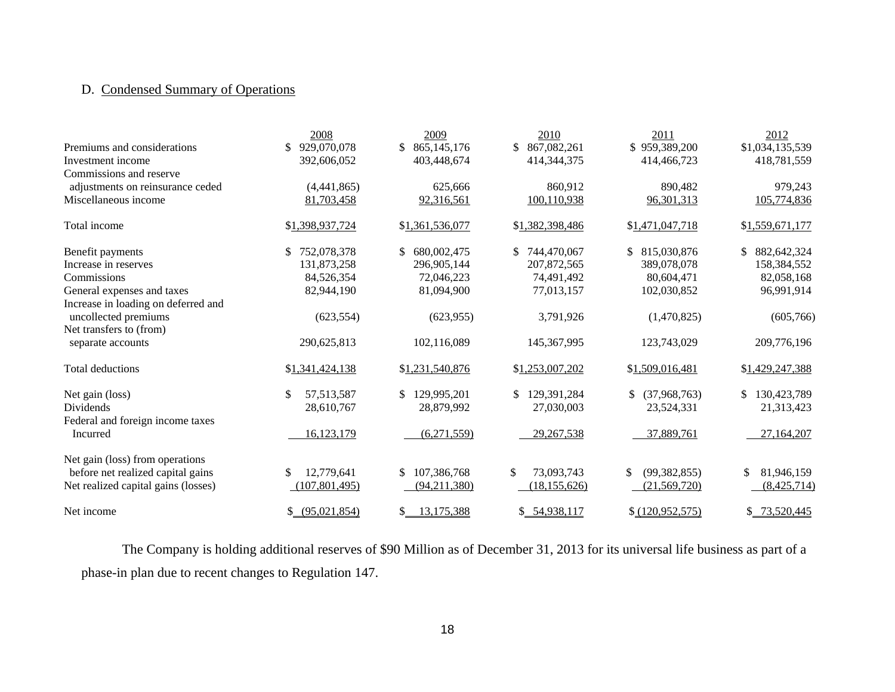## D. Condensed Summary of Operations

|                                     | 2008               | 2009                | 2010             | 2011               | 2012              |
|-------------------------------------|--------------------|---------------------|------------------|--------------------|-------------------|
| Premiums and considerations         | 929,070,078        | 865, 145, 176<br>S. | \$ 867,082,261   | \$959,389,200      | \$1,034,135,539   |
| Investment income                   | 392,606,052        | 403,448,674         | 414, 344, 375    | 414,466,723        | 418,781,559       |
| Commissions and reserve             |                    |                     |                  |                    |                   |
| adjustments on reinsurance ceded    | (4,441,865)        | 625,666             | 860,912          | 890,482            | 979,243           |
| Miscellaneous income                | 81,703,458         | 92,316,561          | 100,110,938      | 96,301,313         | 105,774,836       |
| Total income                        | \$1,398,937,724    | \$1,361,536,077     | \$1,382,398,486  | \$1,471,047,718    | \$1,559,671,177   |
| Benefit payments                    | 752,078,378<br>\$. | \$<br>680,002,475   | \$744,470,067    | 815,030,876<br>\$. | \$<br>882,642,324 |
| Increase in reserves                | 131,873,258        | 296,905,144         | 207,872,565      | 389,078,078        | 158,384,552       |
| Commissions                         | 84,526,354         | 72,046,223          | 74,491,492       | 80,604,471         | 82,058,168        |
| General expenses and taxes          | 82,944,190         | 81,094,900          | 77,013,157       | 102,030,852        | 96,991,914        |
| Increase in loading on deferred and |                    |                     |                  |                    |                   |
| uncollected premiums                | (623, 554)         | (623, 955)          | 3,791,926        | (1,470,825)        | (605,766)         |
| Net transfers to (from)             |                    |                     |                  |                    |                   |
| separate accounts                   | 290,625,813        | 102,116,089         | 145, 367, 995    | 123,743,029        | 209,776,196       |
| Total deductions                    | \$1,341,424,138    | \$1,231,540,876     | \$1,253,007,202  | \$1,509,016,481    | \$1,429,247,388   |
| Net gain (loss)                     | \$<br>57, 513, 587 | \$.<br>129,995,201  | \$129,391,284    | (37,968,763)<br>\$ | \$<br>130,423,789 |
| <b>Dividends</b>                    | 28,610,767         | 28,879,992          | 27,030,003       | 23,524,331         | 21,313,423        |
| Federal and foreign income taxes    |                    |                     |                  |                    |                   |
| Incurred                            | 16,123,179         | (6,271,559)         | 29, 267, 538     | 37,889,761         | 27,164,207        |
| Net gain (loss) from operations     |                    |                     |                  |                    |                   |
| before net realized capital gains   | 12,779,641<br>\$   | 107,386,768<br>\$   | \$<br>73,093,743 | (99, 382, 855)     | \$<br>81,946,159  |
| Net realized capital gains (losses) | (107, 801, 495)    | (94,211,380)        | (18, 155, 626)   | (21,569,720)       | (8,425,714)       |
| Net income                          | \$ (95,021,854)    | 13,175,388<br>S.    | \$54,938,117     | \$ (120,952,575)   | \$ 73,520,445     |

The Company is holding additional reserves of \$90 Million as of December 31, 2013 for its universal life business as part of a phase-in plan due to recent changes to Regulation 147.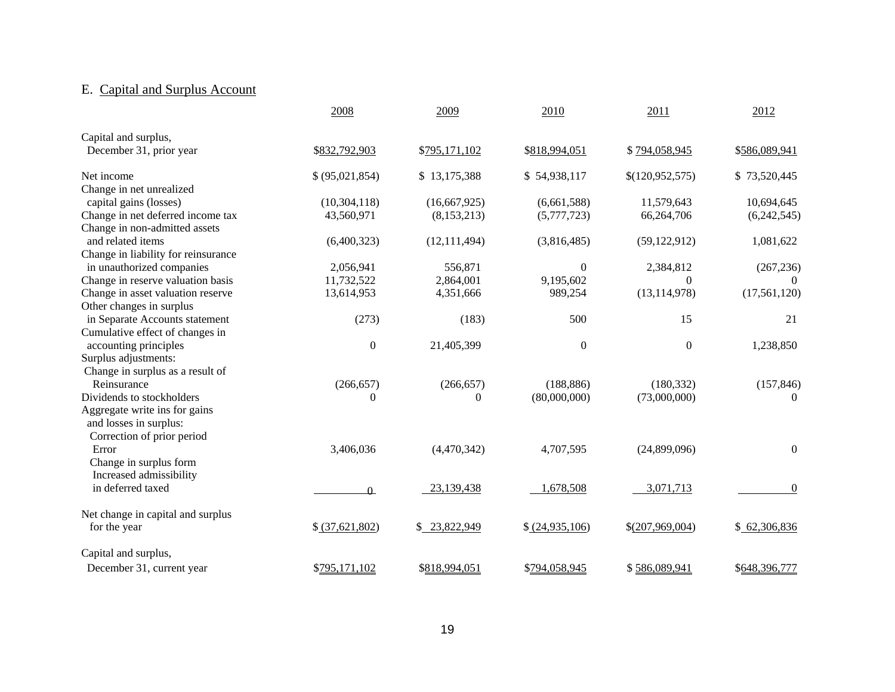## E. Capital and Surplus Account

|                                     | 2008             | 2009           | 2010             | 2011              | 2012           |
|-------------------------------------|------------------|----------------|------------------|-------------------|----------------|
| Capital and surplus,                |                  |                |                  |                   |                |
| December 31, prior year             | \$832,792,903    | \$795,171,102  | \$818,994,051    | \$794,058,945     | \$586,089,941  |
| Net income                          | \$ (95,021,854)  | \$13,175,388   | \$54,938,117     | \$(120,952,575)   | \$73,520,445   |
| Change in net unrealized            |                  |                |                  |                   |                |
| capital gains (losses)              | (10, 304, 118)   | (16,667,925)   | (6,661,588)      | 11,579,643        | 10,694,645     |
| Change in net deferred income tax   | 43,560,971       | (8, 153, 213)  | (5,777,723)      | 66,264,706        | (6,242,545)    |
| Change in non-admitted assets       |                  |                |                  |                   |                |
| and related items                   | (6,400,323)      | (12, 111, 494) | (3,816,485)      | (59, 122, 912)    | 1,081,622      |
| Change in liability for reinsurance |                  |                |                  |                   |                |
| in unauthorized companies           | 2,056,941        | 556,871        | $\boldsymbol{0}$ | 2,384,812         | (267, 236)     |
| Change in reserve valuation basis   | 11,732,522       | 2,864,001      | 9,195,602        | $\theta$          | $\overline{0}$ |
| Change in asset valuation reserve   | 13,614,953       | 4,351,666      | 989,254          | (13, 114, 978)    | (17, 561, 120) |
| Other changes in surplus            |                  |                |                  |                   |                |
| in Separate Accounts statement      | (273)            | (183)          | 500              | 15                | 21             |
| Cumulative effect of changes in     |                  |                |                  |                   |                |
| accounting principles               | $\boldsymbol{0}$ | 21,405,399     | $\boldsymbol{0}$ | $\mathbf{0}$      | 1,238,850      |
| Surplus adjustments:                |                  |                |                  |                   |                |
| Change in surplus as a result of    |                  |                |                  |                   |                |
| Reinsurance                         | (266, 657)       | (266, 657)     | (188, 886)       | (180, 332)        | (157, 846)     |
| Dividends to stockholders           | $\Omega$         | $\Omega$       | (80,000,000)     | (73,000,000)      | $\theta$       |
| Aggregate write ins for gains       |                  |                |                  |                   |                |
| and losses in surplus:              |                  |                |                  |                   |                |
| Correction of prior period          |                  |                |                  |                   |                |
| Error                               | 3,406,036        | (4,470,342)    | 4,707,595        | (24,899,096)      | $\overline{0}$ |
| Change in surplus form              |                  |                |                  |                   |                |
| Increased admissibility             |                  |                |                  |                   |                |
| in deferred taxed                   | $\Omega$         | 23,139,438     | 1,678,508        | 3,071,713         | $\overline{0}$ |
| Net change in capital and surplus   |                  |                |                  |                   |                |
| for the year                        | \$ (37,621,802)  | \$23,822,949   | \$ (24,935,106)  | $$$ (207,969,004) | \$62,306,836   |
| Capital and surplus,                |                  |                |                  |                   |                |
| December 31, current year           | \$795,171,102    | \$818,994,051  | \$794,058,945    | \$586,089,941     | \$648,396,777  |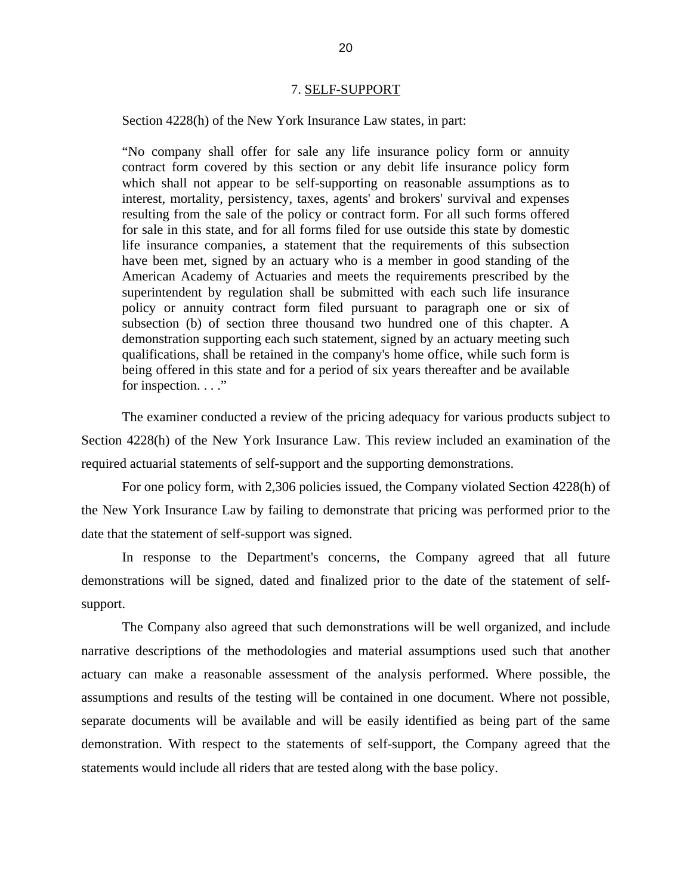#### 7. SELF-SUPPORT

<span id="page-22-0"></span>Section 4228(h) of the New York Insurance Law states, in part:

"No company shall offer for sale any life insurance policy form or annuity contract form covered by this section or any debit life insurance policy form which shall not appear to be self-supporting on reasonable assumptions as to interest, mortality, persistency, taxes, agents' and brokers' survival and expenses resulting from the sale of the policy or contract form. For all such forms offered for sale in this state, and for all forms filed for use outside this state by domestic life insurance companies, a statement that the requirements of this subsection have been met, signed by an actuary who is a member in good standing of the American Academy of Actuaries and meets the requirements prescribed by the superintendent by regulation shall be submitted with each such life insurance policy or annuity contract form filed pursuant to paragraph one or six of subsection (b) of section three thousand two hundred one of this chapter. A demonstration supporting each such statement, signed by an actuary meeting such qualifications, shall be retained in the company's home office, while such form is being offered in this state and for a period of six years thereafter and be available for inspection. . . ."

The examiner conducted a review of the pricing adequacy for various products subject to Section 4228(h) of the New York Insurance Law. This review included an examination of the required actuarial statements of self-support and the supporting demonstrations.

For one policy form, with 2,306 policies issued, the Company violated Section 4228(h) of the New York Insurance Law by failing to demonstrate that pricing was performed prior to the date that the statement of self-support was signed.

In response to the Department's concerns, the Company agreed that all future demonstrations will be signed, dated and finalized prior to the date of the statement of selfsupport.

The Company also agreed that such demonstrations will be well organized, and include narrative descriptions of the methodologies and material assumptions used such that another actuary can make a reasonable assessment of the analysis performed. Where possible, the assumptions and results of the testing will be contained in one document. Where not possible, separate documents will be available and will be easily identified as being part of the same demonstration. With respect to the statements of self-support, the Company agreed that the statements would include all riders that are tested along with the base policy.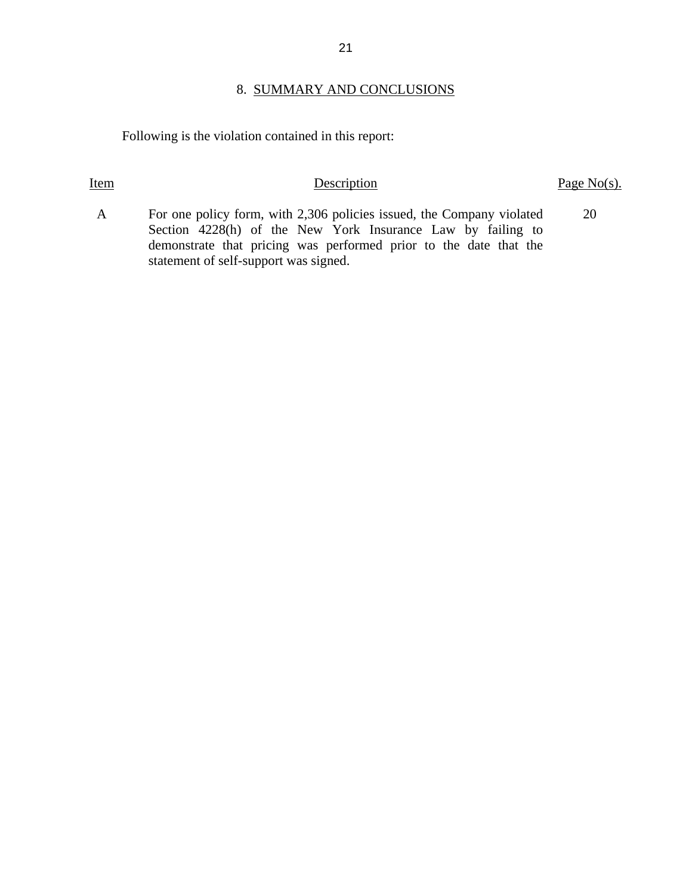#### 21

### 8. SUMMARY AND CONCLUSIONS

Following is the violation contained in this report:

### Item Description Page No(s).

- A For one policy form, with 2,306 policies issued, the Company violated Section 4228(h) of the New York Insurance Law by failing to demonstrate that pricing was performed prior to the date that the statement of self-support was signed. 20
-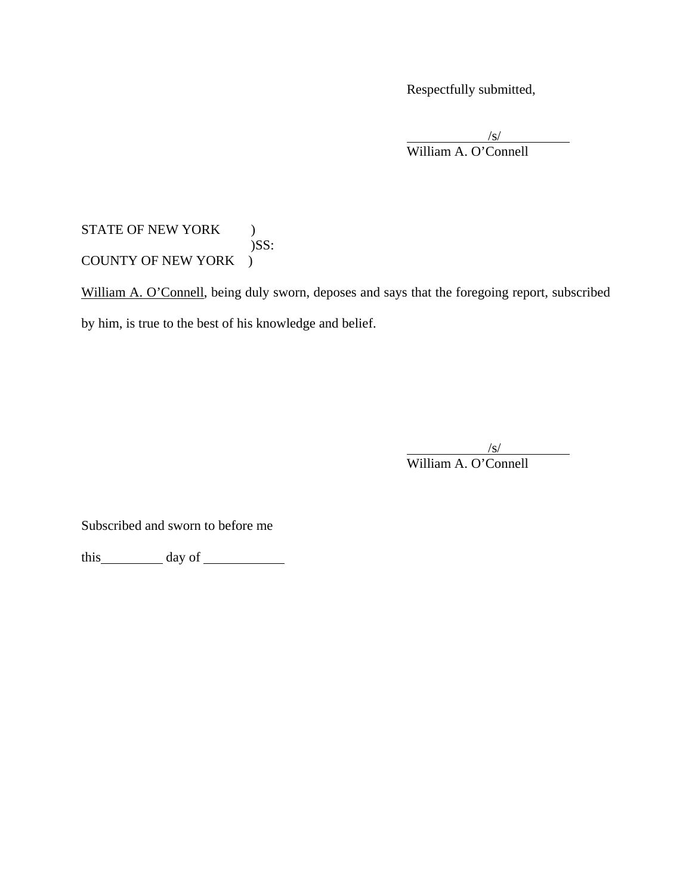Respectfully submitted,

 $\frac{1}{\sqrt{S}}$ William A. O'Connell

STATE OF NEW YORK ) )SS: COUNTY OF NEW YORK )

William A. O'Connell, being duly sworn, deposes and says that the foregoing report, subscribed by him, is true to the best of his knowledge and belief.

 $\frac{1}{\sqrt{S}}$ William A. O'Connell

Subscribed and sworn to before me

this day of